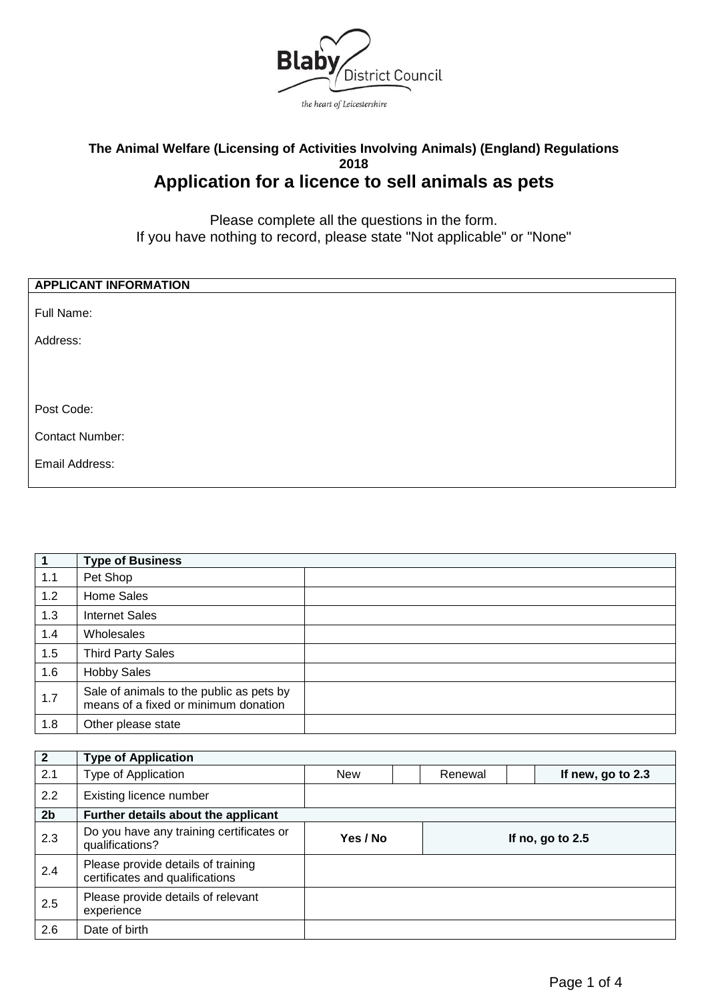

# **The Animal Welfare (Licensing of Activities Involving Animals) (England) Regulations 2018 Application for a licence to sell animals as pets**

Please complete all the questions in the form. If you have nothing to record, please state "Not applicable" or "None"

| <b>APPLICANT INFORMATION</b> |  |
|------------------------------|--|
| Full Name:                   |  |
| Address:                     |  |
|                              |  |
|                              |  |
| Post Code:                   |  |
| <b>Contact Number:</b>       |  |
| Email Address:               |  |
|                              |  |

| $\mathbf 1$ | <b>Type of Business</b>                                                          |  |
|-------------|----------------------------------------------------------------------------------|--|
| 1.1         | Pet Shop                                                                         |  |
| 1.2         | Home Sales                                                                       |  |
| 1.3         | <b>Internet Sales</b>                                                            |  |
| 1.4         | Wholesales                                                                       |  |
| 1.5         | <b>Third Party Sales</b>                                                         |  |
| 1.6         | <b>Hobby Sales</b>                                                               |  |
| 1.7         | Sale of animals to the public as pets by<br>means of a fixed or minimum donation |  |
| 1.8         | Other please state                                                               |  |

| $\overline{2}$ | <b>Type of Application</b>                                            |            |         |                   |
|----------------|-----------------------------------------------------------------------|------------|---------|-------------------|
| 2.1            | Type of Application                                                   | <b>New</b> | Renewal | If new, go to 2.3 |
| 2.2            | Existing licence number                                               |            |         |                   |
| 2 <sub>b</sub> | Further details about the applicant                                   |            |         |                   |
| 2.3            | Do you have any training certificates or<br>qualifications?           | Yes / No   |         | If no, go to 2.5  |
| 2.4            | Please provide details of training<br>certificates and qualifications |            |         |                   |
| 2.5            | Please provide details of relevant<br>experience                      |            |         |                   |
| 2.6            | Date of birth                                                         |            |         |                   |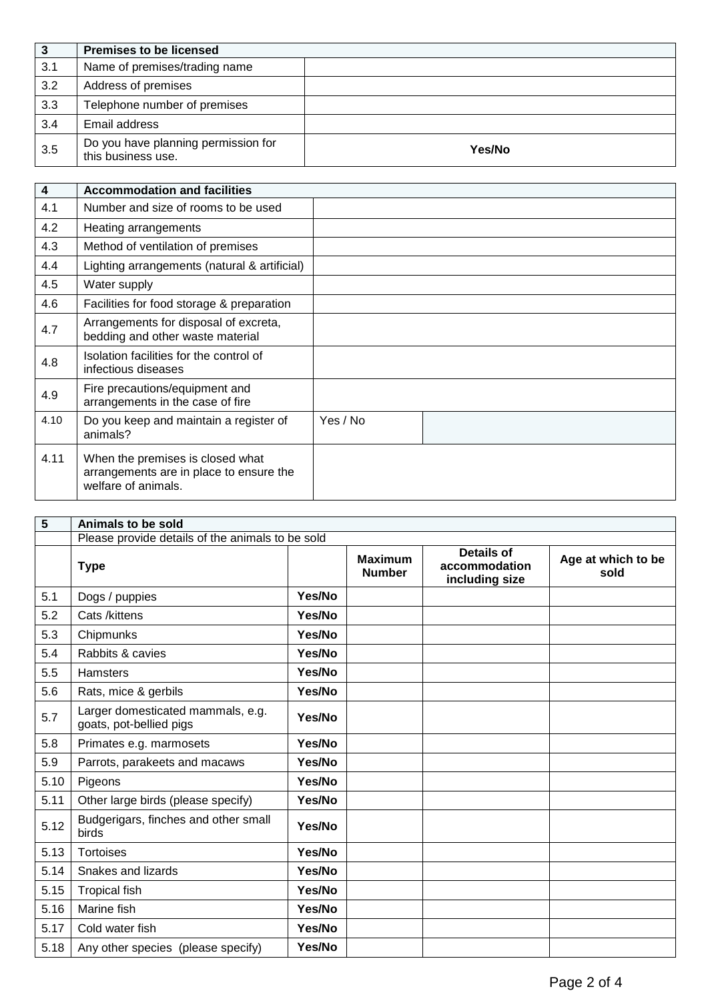| 3   | <b>Premises to be licensed</b>                            |        |
|-----|-----------------------------------------------------------|--------|
| 3.1 | Name of premises/trading name                             |        |
| 3.2 | Address of premises                                       |        |
| 3.3 | Telephone number of premises                              |        |
| 3.4 | Email address                                             |        |
| 3.5 | Do you have planning permission for<br>this business use. | Yes/No |

| $\overline{\mathbf{4}}$ | <b>Accommodation and facilities</b>                                                                |          |
|-------------------------|----------------------------------------------------------------------------------------------------|----------|
| 4.1                     | Number and size of rooms to be used                                                                |          |
| 4.2                     | Heating arrangements                                                                               |          |
| 4.3                     | Method of ventilation of premises                                                                  |          |
| 4.4                     | Lighting arrangements (natural & artificial)                                                       |          |
| 4.5                     | Water supply                                                                                       |          |
| 4.6                     | Facilities for food storage & preparation                                                          |          |
| 4.7                     | Arrangements for disposal of excreta,<br>bedding and other waste material                          |          |
| 4.8                     | Isolation facilities for the control of<br>infectious diseases                                     |          |
| 4.9                     | Fire precautions/equipment and<br>arrangements in the case of fire                                 |          |
| 4.10                    | Do you keep and maintain a register of<br>animals?                                                 | Yes / No |
| 4.11                    | When the premises is closed what<br>arrangements are in place to ensure the<br>welfare of animals. |          |

| $\overline{\mathbf{5}}$ | Animals to be sold                                           |        |                                 |                                                      |                            |
|-------------------------|--------------------------------------------------------------|--------|---------------------------------|------------------------------------------------------|----------------------------|
|                         | Please provide details of the animals to be sold             |        |                                 |                                                      |                            |
|                         | <b>Type</b>                                                  |        | <b>Maximum</b><br><b>Number</b> | <b>Details of</b><br>accommodation<br>including size | Age at which to be<br>sold |
| 5.1                     | Dogs / puppies                                               | Yes/No |                                 |                                                      |                            |
| 5.2                     | Cats /kittens                                                | Yes/No |                                 |                                                      |                            |
| 5.3                     | Chipmunks                                                    | Yes/No |                                 |                                                      |                            |
| 5.4                     | Rabbits & cavies                                             | Yes/No |                                 |                                                      |                            |
| 5.5                     | <b>Hamsters</b>                                              | Yes/No |                                 |                                                      |                            |
| 5.6                     | Rats, mice & gerbils                                         | Yes/No |                                 |                                                      |                            |
| 5.7                     | Larger domesticated mammals, e.g.<br>goats, pot-bellied pigs | Yes/No |                                 |                                                      |                            |
| 5.8                     | Primates e.g. marmosets                                      | Yes/No |                                 |                                                      |                            |
| 5.9                     | Parrots, parakeets and macaws                                | Yes/No |                                 |                                                      |                            |
| 5.10                    | Pigeons                                                      | Yes/No |                                 |                                                      |                            |
| 5.11                    | Other large birds (please specify)                           | Yes/No |                                 |                                                      |                            |
| 5.12                    | Budgerigars, finches and other small<br>birds                | Yes/No |                                 |                                                      |                            |
| 5.13                    | <b>Tortoises</b>                                             | Yes/No |                                 |                                                      |                            |
| 5.14                    | Snakes and lizards                                           | Yes/No |                                 |                                                      |                            |
| 5.15                    | <b>Tropical fish</b>                                         | Yes/No |                                 |                                                      |                            |
| 5.16                    | Marine fish                                                  | Yes/No |                                 |                                                      |                            |
| 5.17                    | Cold water fish                                              | Yes/No |                                 |                                                      |                            |
| 5.18                    | Any other species (please specify)                           | Yes/No |                                 |                                                      |                            |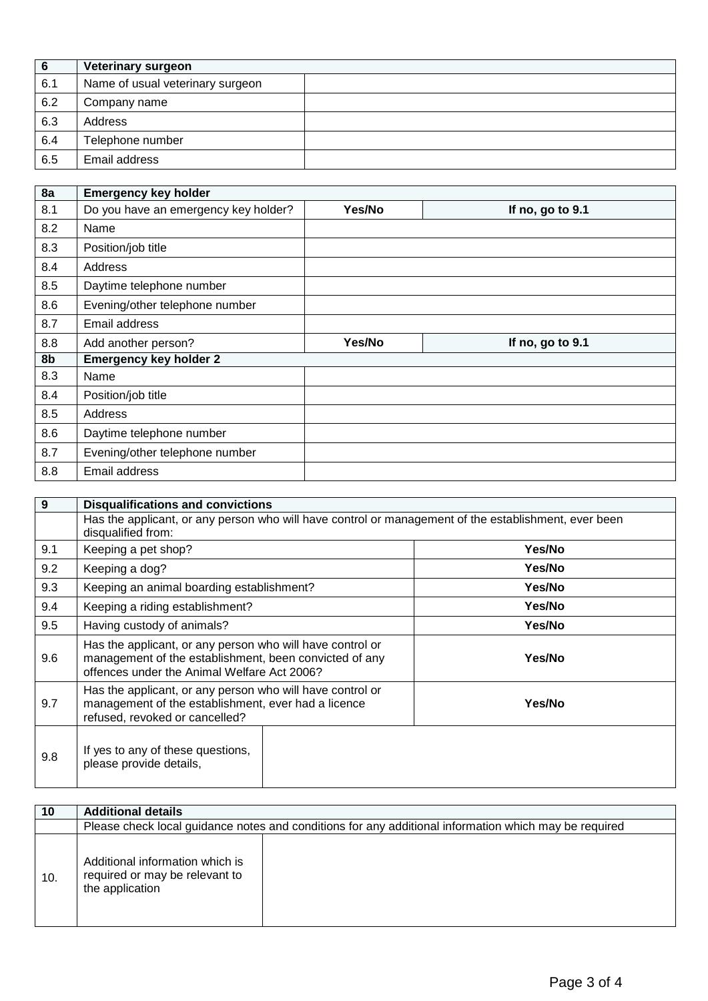| 6   | Veterinary surgeon               |  |
|-----|----------------------------------|--|
| 6.1 | Name of usual veterinary surgeon |  |
| 6.2 | Company name                     |  |
| 6.3 | Address                          |  |
| 6.4 | Telephone number                 |  |
| 6.5 | Email address                    |  |

| 8a  | <b>Emergency key holder</b>          |        |                  |
|-----|--------------------------------------|--------|------------------|
| 8.1 | Do you have an emergency key holder? | Yes/No | If no, go to 9.1 |
| 8.2 | Name                                 |        |                  |
| 8.3 | Position/job title                   |        |                  |
| 8.4 | Address                              |        |                  |
| 8.5 | Daytime telephone number             |        |                  |
| 8.6 | Evening/other telephone number       |        |                  |
| 8.7 | Email address                        |        |                  |
| 8.8 | Add another person?                  | Yes/No | If no, go to 9.1 |
| 8b  | <b>Emergency key holder 2</b>        |        |                  |
| 8.3 | Name                                 |        |                  |
| 8.4 | Position/job title                   |        |                  |
| 8.5 | Address                              |        |                  |
| 8.6 | Daytime telephone number             |        |                  |
| 8.7 | Evening/other telephone number       |        |                  |
| 8.8 | Email address                        |        |                  |

| 9   | <b>Disqualifications and convictions</b>                                                                                                                           |        |  |
|-----|--------------------------------------------------------------------------------------------------------------------------------------------------------------------|--------|--|
|     | Has the applicant, or any person who will have control or management of the establishment, ever been<br>disqualified from:                                         |        |  |
| 9.1 | Keeping a pet shop?                                                                                                                                                | Yes/No |  |
| 9.2 | Keeping a dog?                                                                                                                                                     | Yes/No |  |
| 9.3 | Keeping an animal boarding establishment?                                                                                                                          | Yes/No |  |
| 9.4 | Keeping a riding establishment?                                                                                                                                    | Yes/No |  |
| 9.5 | Having custody of animals?                                                                                                                                         | Yes/No |  |
| 9.6 | Has the applicant, or any person who will have control or<br>management of the establishment, been convicted of any<br>offences under the Animal Welfare Act 2006? | Yes/No |  |
| 9.7 | Has the applicant, or any person who will have control or<br>management of the establishment, ever had a licence<br>refused, revoked or cancelled?                 | Yes/No |  |
| 9.8 | If yes to any of these questions,<br>please provide details,                                                                                                       |        |  |

| 10  | <b>Additional details</b>                                                            |                                                                                                       |
|-----|--------------------------------------------------------------------------------------|-------------------------------------------------------------------------------------------------------|
|     |                                                                                      | Please check local guidance notes and conditions for any additional information which may be required |
| 10. | Additional information which is<br>required or may be relevant to<br>the application |                                                                                                       |